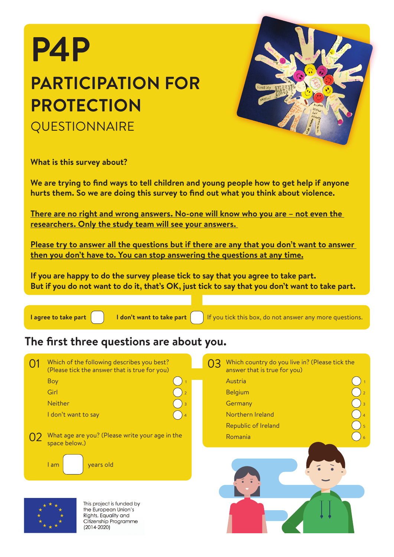# **P4P PARTICIPATION FOR PROTECTION QUESTIONNAIRE**



**What is this survey about?**

**We are trying to find ways to tell children and young people how to get help if anyone hurts them. So we are doing this survey to find out what you think about violence.** 

**There are no right and wrong answers. No-one will know who you are – not even the researchers. Only the study team will see your answers.** 

**Please try to answer all the questions but if there are any that you don't want to answer then you don't have to. You can stop answering the questions at any time.**

**If you are happy to do the survey please tick to say that you agree to take part. But if you do not want to do it, that's OK, just tick to say that you don't want to take part.**



**I agree to take part**  $\begin{bmatrix} 1 & 1 \end{bmatrix}$  **I don't want to take part**  $\begin{bmatrix} 1 & 1 \end{bmatrix}$  If you tick this box, do not answer any more questions.

### **The first three questions are about you.**

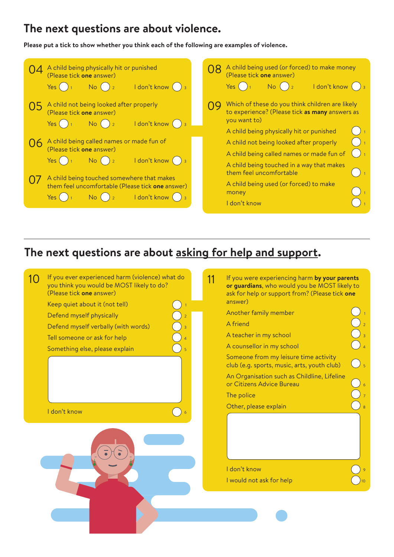#### **The next questions are about violence.**

**Please put a tick to show whether you think each of the following are examples of violence.**

| A child being physically hit or punished<br>(Please tick one answer)<br>I don't know () 3<br>Yes(<br>$No()_2$                 |  |  | A child being used (or forced) to make money<br>(Please tick one answer)<br>No() <sub>2</sub><br>ldon't know ()<br>Yes (                                                           |  |  |  |
|-------------------------------------------------------------------------------------------------------------------------------|--|--|------------------------------------------------------------------------------------------------------------------------------------------------------------------------------------|--|--|--|
| A child not being looked after properly<br>(Please tick one answer)<br>I don't know () 3<br>Yes (<br>No                       |  |  | Which of these do you think children are likely<br>to experience? (Please tick as many answers as<br>you want to)<br>A child being physically hit or punished                      |  |  |  |
| A child being called names or made fun of<br>(Please tick one answer)<br>I don't know () 3<br>Yes (<br>No.                    |  |  | A child not being looked after properly<br>A child being called names or made fun of<br>$\left(\begin{array}{c} \end{array}\right)$ 1<br>A child being touched in a way that makes |  |  |  |
| A child being touched somewhere that makes<br>them feel uncomfortable (Please tick one answer)<br>I don't know<br>Yes I<br>No |  |  | them feel uncomfortable<br>A child being used (or forced) to make<br>money<br>I don't know                                                                                         |  |  |  |

#### **The next questions are about asking for help and support.**

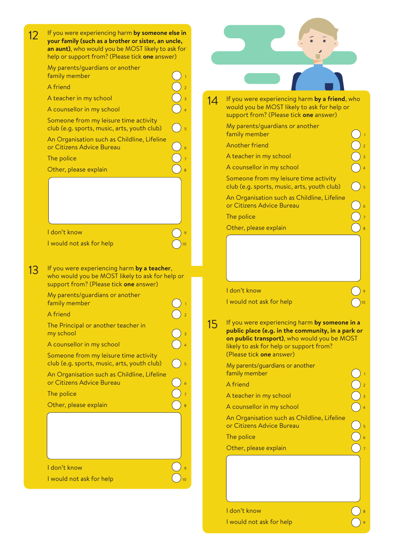| $12 \overline{)}$ | If you were experiencing harm by someone else in<br>your family (such as a brother or sister, an uncle,<br>an aunt), who would you be MOST likely to ask for                |    |                                                                                                                                                                                                                          |  |  |
|-------------------|-----------------------------------------------------------------------------------------------------------------------------------------------------------------------------|----|--------------------------------------------------------------------------------------------------------------------------------------------------------------------------------------------------------------------------|--|--|
|                   | help or support from? (Please tick one answer)<br>My parents/guardians or another<br>family member                                                                          |    |                                                                                                                                                                                                                          |  |  |
|                   | A friend                                                                                                                                                                    |    |                                                                                                                                                                                                                          |  |  |
|                   | A teacher in my school                                                                                                                                                      |    | If you were experiencing harm by a friend, who                                                                                                                                                                           |  |  |
|                   | A counsellor in my school                                                                                                                                                   | 14 | would you be MOST likely to ask for help or<br>support from? (Please tick one answer)                                                                                                                                    |  |  |
|                   | Someone from my leisure time activity<br>club (e.g. sports, music, arts, youth club)                                                                                        |    | My parents/guardians or another<br>family member                                                                                                                                                                         |  |  |
|                   | An Organisation such as Childline, Lifeline<br>or Citizens Advice Bureau                                                                                                    |    | Another friend                                                                                                                                                                                                           |  |  |
|                   |                                                                                                                                                                             |    | A teacher in my school                                                                                                                                                                                                   |  |  |
|                   | The police<br>Other, please explain                                                                                                                                         |    | A counsellor in my school                                                                                                                                                                                                |  |  |
|                   |                                                                                                                                                                             |    | Someone from my leisure time activity<br>club (e.g. sports, music, arts, youth club)                                                                                                                                     |  |  |
|                   |                                                                                                                                                                             |    | An Organisation such as Childline, Lifeline<br>or Citizens Advice Bureau                                                                                                                                                 |  |  |
|                   |                                                                                                                                                                             |    | The police                                                                                                                                                                                                               |  |  |
|                   |                                                                                                                                                                             |    | Other, please explain                                                                                                                                                                                                    |  |  |
|                   | I don't know<br>I would not ask for help                                                                                                                                    |    |                                                                                                                                                                                                                          |  |  |
| 13                | If you were experiencing harm by a teacher,<br>who would you be MOST likely to ask for help or<br>support from? (Please tick one answer)<br>My parents/guardians or another |    | I don't know                                                                                                                                                                                                             |  |  |
|                   | family member                                                                                                                                                               |    | I would not ask for help                                                                                                                                                                                                 |  |  |
|                   | A friend<br>The Principal or another teacher in<br>my school<br>A counsellor in my school<br>Someone from my leisure time activity                                          | 15 | If you were experiencing harm by someone in a<br>public place (e.g. in the community, in a park or<br>on public transport), who would you be MOST<br>likely to ask for help or support from?<br>(Please tick one answer) |  |  |
|                   | club (e.g. sports, music, arts, youth club)<br>An Organisation such as Childline, Lifeline                                                                                  |    | My parents/guardians or another<br>family member                                                                                                                                                                         |  |  |
|                   | or Citizens Advice Bureau                                                                                                                                                   |    | A friend                                                                                                                                                                                                                 |  |  |
|                   | The police                                                                                                                                                                  |    | A teacher in my school                                                                                                                                                                                                   |  |  |
|                   | Other, please explain                                                                                                                                                       |    | A counsellor in my school                                                                                                                                                                                                |  |  |
|                   |                                                                                                                                                                             |    | An Organisation such as Childline, Lifeline<br>or Citizens Advice Bureau                                                                                                                                                 |  |  |
|                   |                                                                                                                                                                             |    | The police                                                                                                                                                                                                               |  |  |
|                   |                                                                                                                                                                             |    | Other, please explain                                                                                                                                                                                                    |  |  |
|                   |                                                                                                                                                                             |    |                                                                                                                                                                                                                          |  |  |
|                   |                                                                                                                                                                             |    |                                                                                                                                                                                                                          |  |  |
|                   | I don't know<br>I would not ask for help                                                                                                                                    |    |                                                                                                                                                                                                                          |  |  |

I don't know <br>I would not ask for help<br>
9 I would not ask for help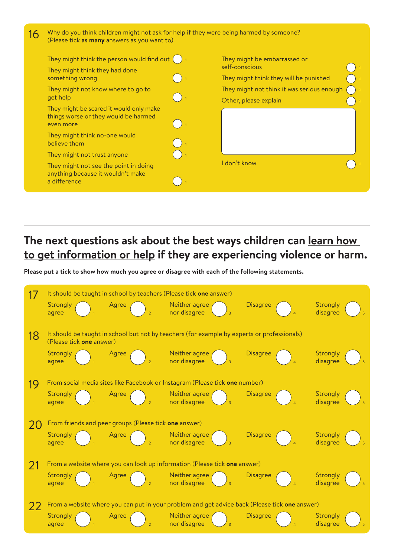| 16 | Why do you think children might not ask for help if they were being harmed by someone?<br>(Please tick as many answers as you want to) |  |                                                                     |  |  |
|----|----------------------------------------------------------------------------------------------------------------------------------------|--|---------------------------------------------------------------------|--|--|
|    | They might think the person would find out $( )$<br>They might think they had done                                                     |  | They might be embarrassed or<br>self-conscious                      |  |  |
|    | something wrong                                                                                                                        |  | They might think they will be punished                              |  |  |
|    | They might not know where to go to<br>get help                                                                                         |  | They might not think it was serious enough<br>Other, please explain |  |  |
|    | They might be scared it would only make<br>things worse or they would be harmed<br>even more                                           |  |                                                                     |  |  |
|    | They might think no-one would<br>believe them                                                                                          |  |                                                                     |  |  |
|    | They might not trust anyone                                                                                                            |  |                                                                     |  |  |
|    | They might not see the point in doing<br>anything because it wouldn't make<br>a difference                                             |  | I don't know                                                        |  |  |

# **The next questions ask about the best ways children can learn how to get information or help if they are experiencing violence or harm.**

**Please put a tick to show how much you agree or disagree with each of the following statements.**

|                                                                                               | It should be taught in school by teachers (Please tick one answer) |                                                                             |                                                                                             |                 |                      |  |  |  |
|-----------------------------------------------------------------------------------------------|--------------------------------------------------------------------|-----------------------------------------------------------------------------|---------------------------------------------------------------------------------------------|-----------------|----------------------|--|--|--|
|                                                                                               | Strongly<br>agree                                                  | Agree                                                                       | Neither agree<br>nor disagree                                                               | <b>Disagree</b> | Strongly<br>disagree |  |  |  |
| 18                                                                                            | (Please tick one answer)                                           |                                                                             | It should be taught in school but not by teachers (for example by experts or professionals) |                 |                      |  |  |  |
|                                                                                               | Strongly<br>agree                                                  | Agree                                                                       | Neither agree<br>nor disagree                                                               | <b>Disagree</b> | Strongly<br>disagree |  |  |  |
| 19                                                                                            |                                                                    | From social media sites like Facebook or Instagram (Please tick one number) |                                                                                             |                 |                      |  |  |  |
|                                                                                               | Strongly<br>agree                                                  | Agree                                                                       | Neither agree<br>nor disagree                                                               | <b>Disagree</b> | Strongly<br>disagree |  |  |  |
| 20                                                                                            |                                                                    | From friends and peer groups (Please tick one answer)                       |                                                                                             |                 |                      |  |  |  |
|                                                                                               | Strongly<br>agree                                                  | Agree                                                                       | Neither agree<br>nor disagree                                                               | <b>Disagree</b> | Strongly<br>disagree |  |  |  |
| 21                                                                                            |                                                                    |                                                                             | From a website where you can look up information (Please tick one answer)                   |                 |                      |  |  |  |
|                                                                                               | Strongly<br>agree                                                  | Agree                                                                       | Neither agree<br>nor disagree                                                               | <b>Disagree</b> | Strongly<br>disagree |  |  |  |
| From a website where you can put in your problem and get advice back (Please tick one answer) |                                                                    |                                                                             |                                                                                             |                 |                      |  |  |  |
|                                                                                               | Strongly<br>agree                                                  | Agree                                                                       | Neither agree<br>nor disagree                                                               | <b>Disagree</b> | Strongly<br>disagree |  |  |  |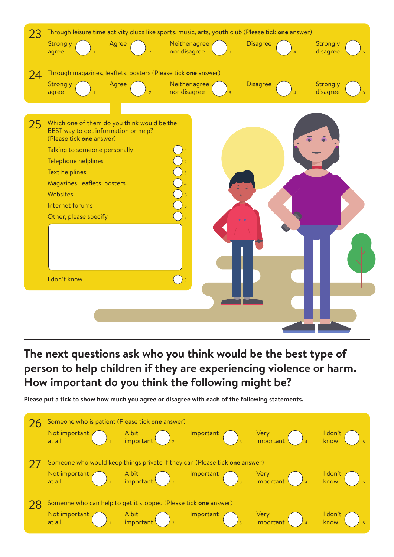

## **The next questions ask who you think would be the best type of person to help children if they are experiencing violence or harm. How important do you think the following might be?**

**Please put a tick to show how much you agree or disagree with each of the following statements.**